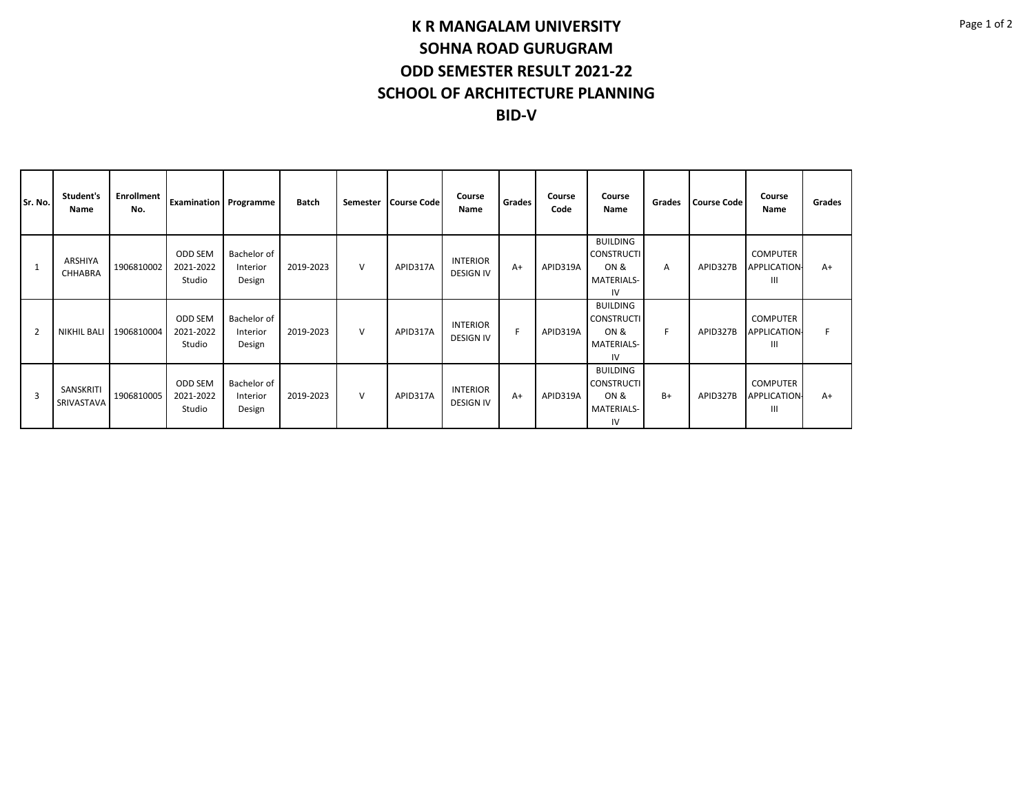## **K R MANGALAM UNIVERSITY SOHNA ROAD GURUGRAM ODD SEMESTER RESULT 2021-22 SCHOOL OF ARCHITECTURE PLANNING BID-V**

| Sr. No. | Student's<br>Name         | Enrollment<br>No. | <b>Examination</b> Programme   |                                   | Batch     | Semester | <b>Course Code</b> | Course<br>Name                      | Grades | Course<br>Code | Course<br>Name                                                   | Grades | <b>Course Code</b> | Course<br>Name                              | Grades |
|---------|---------------------------|-------------------|--------------------------------|-----------------------------------|-----------|----------|--------------------|-------------------------------------|--------|----------------|------------------------------------------------------------------|--------|--------------------|---------------------------------------------|--------|
|         | ARSHIYA<br><b>CHHABRA</b> | 1906810002        | ODD SEM<br>2021-2022<br>Studio | Bachelor of<br>Interior<br>Design | 2019-2023 | $\vee$   | APID317A           | <b>INTERIOR</b><br><b>DESIGN IV</b> | $A+$   | APID319A       | <b>BUILDING</b><br><b>CONSTRUCTI</b><br>ON &<br>MATERIALS-<br>IV | Α      | APID327B           | <b>COMPUTER</b><br><b>APPLICATION-</b><br>Ш | $A+$   |
| 2       | NIKHIL BALI               | 1906810004        | ODD SEM<br>2021-2022<br>Studio | Bachelor of<br>Interior<br>Design | 2019-2023 | $\vee$   | APID317A           | <b>INTERIOR</b><br><b>DESIGN IV</b> | E      | APID319A       | <b>BUILDING</b><br><b>CONSTRUCTI</b><br>ON &<br>MATERIALS-<br>IV | F.     | APID327B           | <b>COMPUTER</b><br><b>APPLICATION-</b><br>Ш | F.     |
| 3       | SANSKRITI<br>SRIVASTAVA   | 1906810005        | ODD SEM<br>2021-2022<br>Studio | Bachelor of<br>Interior<br>Design | 2019-2023 | $\vee$   | APID317A           | <b>INTERIOR</b><br><b>DESIGN IV</b> | $A+$   | APID319A       | <b>BUILDING</b><br><b>CONSTRUCTI</b><br>ON &<br>MATERIALS-<br>IV | $B+$   | APID327B           | <b>COMPUTER</b><br><b>APPLICATION-</b><br>Ш | $A+$   |